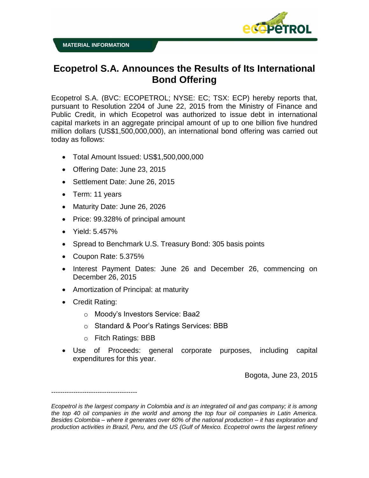



## **Ecopetrol S.A. Announces the Results of Its International Bond Offering**

Ecopetrol S.A. (BVC: ECOPETROL; NYSE: EC; TSX: ECP) hereby reports that, pursuant to Resolution 2204 of June 22, 2015 from the Ministry of Finance and Public Credit, in which Ecopetrol was authorized to issue debt in international capital markets in an aggregate principal amount of up to one billion five hundred million dollars (US\$1,500,000,000), an international bond offering was carried out today as follows:

- Total Amount Issued: US\$1,500,000,000
- Offering Date: June 23, 2015
- Settlement Date: June 26, 2015
- Term: 11 years
- Maturity Date: June 26, 2026
- Price: 99.328% of principal amount
- Yield: 5.457%
- Spread to Benchmark U.S. Treasury Bond: 305 basis points
- Coupon Rate: 5.375%
- Interest Payment Dates: June 26 and December 26, commencing on December 26, 2015
- Amortization of Principal: at maturity
- Credit Rating:

---------------------------------------

- o Moody's Investors Service: Baa2
- o Standard & Poor's Ratings Services: BBB
- o Fitch Ratings: BBB
- Use of Proceeds: general corporate purposes, including capital expenditures for this year.

Bogota, June 23, 2015

*Ecopetrol is the largest company in Colombia and is an integrated oil and gas company; it is among the top 40 oil companies in the world and among the top four oil companies in Latin America. Besides Colombia – where it generates over 60% of the national production – it has exploration and production activities in Brazil, Peru, and the US (Gulf of Mexico. Ecopetrol owns the largest refinery*